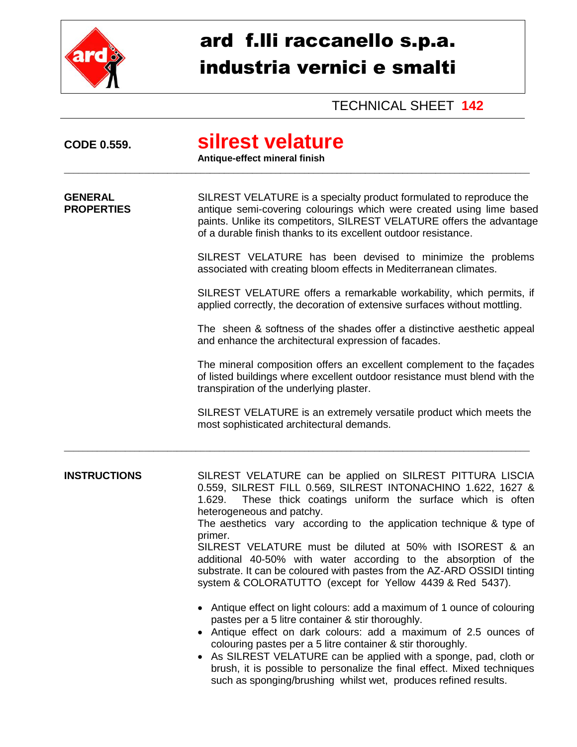

## ard f.lli raccanello s.p.a. industria vernici e smalti

TECHNICAL SHEET **142**

| <b>CODE 0.559.</b>                  | silrest velature<br>Antique-effect mineral finish                                                                                                                                                                                                                                                                                                                                                                                                                                                                                                                                       |  |  |
|-------------------------------------|-----------------------------------------------------------------------------------------------------------------------------------------------------------------------------------------------------------------------------------------------------------------------------------------------------------------------------------------------------------------------------------------------------------------------------------------------------------------------------------------------------------------------------------------------------------------------------------------|--|--|
| <b>GENERAL</b><br><b>PROPERTIES</b> | SILREST VELATURE is a specialty product formulated to reproduce the<br>antique semi-covering colourings which were created using lime based<br>paints. Unlike its competitors, SILREST VELATURE offers the advantage<br>of a durable finish thanks to its excellent outdoor resistance.                                                                                                                                                                                                                                                                                                 |  |  |
|                                     | SILREST VELATURE has been devised to minimize the problems<br>associated with creating bloom effects in Mediterranean climates.                                                                                                                                                                                                                                                                                                                                                                                                                                                         |  |  |
|                                     | SILREST VELATURE offers a remarkable workability, which permits, if<br>applied correctly, the decoration of extensive surfaces without mottling.                                                                                                                                                                                                                                                                                                                                                                                                                                        |  |  |
|                                     | The sheen & softness of the shades offer a distinctive aesthetic appeal<br>and enhance the architectural expression of facades.                                                                                                                                                                                                                                                                                                                                                                                                                                                         |  |  |
|                                     | The mineral composition offers an excellent complement to the façades<br>of listed buildings where excellent outdoor resistance must blend with the<br>transpiration of the underlying plaster.                                                                                                                                                                                                                                                                                                                                                                                         |  |  |
|                                     | SILREST VELATURE is an extremely versatile product which meets the<br>most sophisticated architectural demands.                                                                                                                                                                                                                                                                                                                                                                                                                                                                         |  |  |
| <b>INSTRUCTIONS</b>                 | SILREST VELATURE can be applied on SILREST PITTURA LISCIA<br>0.559, SILREST FILL 0.569, SILREST INTONACHINO 1.622, 1627 &<br>These thick coatings uniform the surface which is often<br>1.629.<br>heterogeneous and patchy.<br>The aesthetics vary according to the application technique & type of<br>primer.<br>SILREST VELATURE must be diluted at 50% with ISOREST & an<br>additional 40-50% with water according to the absorption of the<br>substrate. It can be coloured with pastes from the AZ-ARD OSSIDI tinting<br>system & COLORATUTTO (except for Yellow 4439 & Red 5437). |  |  |
|                                     | • Antique effect on light colours: add a maximum of 1 ounce of colouring<br>pastes per a 5 litre container & stir thoroughly.<br>• Antique effect on dark colours: add a maximum of 2.5 ounces of<br>colouring pastes per a 5 litre container & stir thoroughly.<br>• As SILREST VELATURE can be applied with a sponge, pad, cloth or<br>brush, it is possible to personalize the final effect. Mixed techniques<br>such as sponging/brushing whilst wet, produces refined results.                                                                                                     |  |  |